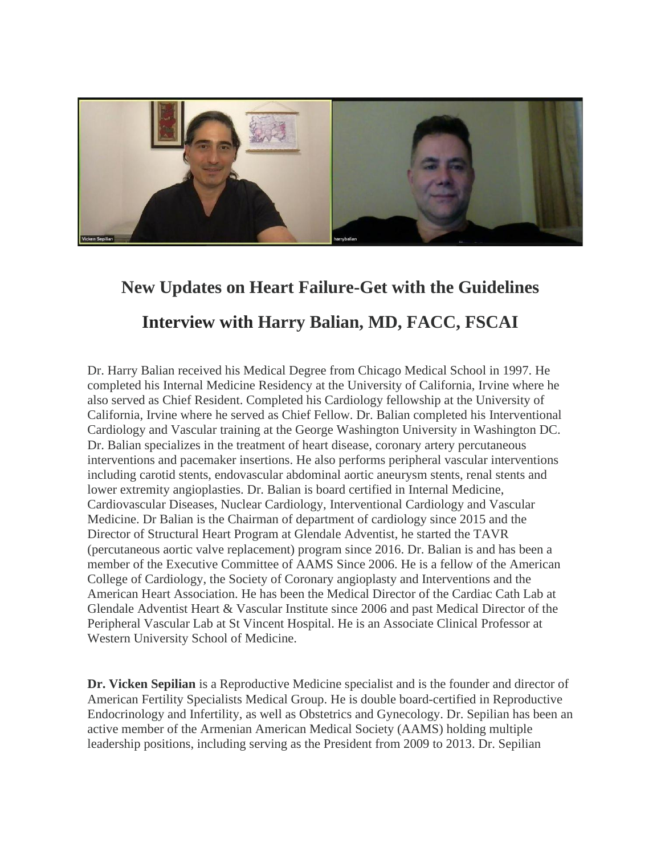

## **New Updates on Heart Failure-Get with the Guidelines Interview with Harry Balian, MD, FACC, FSCAI**

Dr. Harry Balian received his Medical Degree from Chicago Medical School in 1997. He completed his Internal Medicine Residency at the University of California, Irvine where he also served as Chief Resident. Completed his Cardiology fellowship at the University of California, Irvine where he served as Chief Fellow. Dr. Balian completed his Interventional Cardiology and Vascular training at the George Washington University in Washington DC. Dr. Balian specializes in the treatment of heart disease, coronary artery percutaneous interventions and pacemaker insertions. He also performs peripheral vascular interventions including carotid stents, endovascular abdominal aortic aneurysm stents, renal stents and lower extremity angioplasties. Dr. Balian is board certified in Internal Medicine, Cardiovascular Diseases, Nuclear Cardiology, Interventional Cardiology and Vascular Medicine. Dr Balian is the Chairman of department of cardiology since 2015 and the Director of Structural Heart Program at Glendale Adventist, he started the TAVR (percutaneous aortic valve replacement) program since 2016. Dr. Balian is and has been a member of the Executive Committee of AAMS Since 2006. He is a fellow of the American College of Cardiology, the Society of Coronary angioplasty and Interventions and the American Heart Association. He has been the Medical Director of the Cardiac Cath Lab at Glendale Adventist Heart & Vascular Institute since 2006 and past Medical Director of the Peripheral Vascular Lab at St Vincent Hospital. He is an Associate Clinical Professor at Western University School of Medicine.

**Dr. Vicken Sepilian** is a Reproductive Medicine specialist and is the founder and director of American Fertility Specialists Medical Group. He is double board-certified in Reproductive Endocrinology and Infertility, as well as Obstetrics and Gynecology. Dr. Sepilian has been an active member of the Armenian American Medical Society (AAMS) holding multiple leadership positions, including serving as the President from 2009 to 2013. Dr. Sepilian